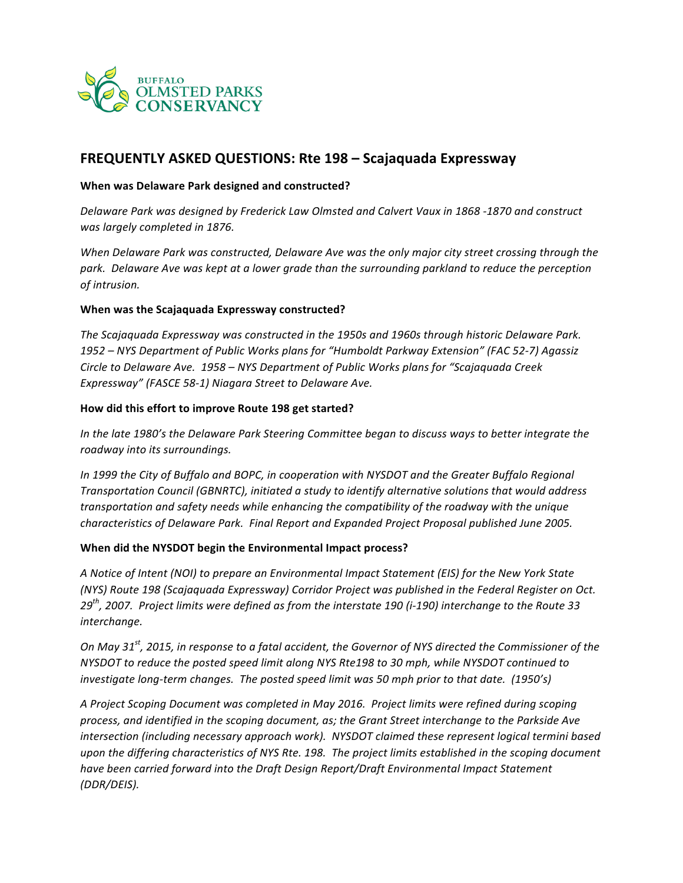

# **FREQUENTLY ASKED QUESTIONS: Rte 198 – Scajaquada Expressway**

## **When was Delaware Park designed and constructed?**

Delaware Park was designed by Frederick Law Olmsted and Calvert Vaux in 1868 -1870 and construct *was largely completed in 1876.*

*When Delaware Park was constructed, Delaware Ave was the only major city street crossing through the* park. Delaware Ave was kept at a lower grade than the surrounding parkland to reduce the perception  $of$  intrusion.

### **When was the Scajaquada Expressway constructed?**

The Scajaquada Expressway was constructed in the 1950s and 1960s through historic Delaware Park. 1952 – NYS Department of Public Works plans for "Humboldt Parkway Extension" (FAC 52-7) Agassiz *Circle to Delaware Ave. 1958 – NYS Department of Public Works plans for "Scajaquada Creek* Expressway" (FASCE 58-1) Niagara Street to Delaware Ave.

### How did this effort to improve Route 198 get started?

*In* the late 1980's the Delaware Park Steering Committee began to discuss ways to better integrate the *roadway into its surroundings.*

In 1999 the City of Buffalo and BOPC, in cooperation with NYSDOT and the Greater Buffalo Regional *Transportation Council (GBNRTC), initiated a study to identify alternative solutions that would address* transportation and safety needs while enhancing the compatibility of the roadway with the unique *characteristics of Delaware Park. Final Report and Expanded Project Proposal published June 2005.*

## **When did the NYSDOT begin the Environmental Impact process?**

A Notice of Intent (NOI) to prepare an Environmental Impact Statement (EIS) for the New York State *(NYS)* Route 198 *(Scajaquada Expressway)* Corridor Project was published in the Federal Register on Oct. 29<sup>th</sup>, 2007. Project limits were defined as from the interstate 190 (i-190) interchange to the Route 33 *interchange.*

*On* May 31<sup>st</sup>, 2015, in response to a fatal accident, the Governor of NYS directed the Commissioner of the *NYSDOT* to reduce the posted speed limit along NYS Rte198 to 30 mph, while NYSDOT continued to *investigate long-term changes. The posted speed limit was 50 mph prior to that date.* (1950's)

A Project Scoping Document was completed in May 2016. Project limits were refined during scoping process, and *identified in the scoping document, as;* the Grant Street interchange to the Parkside Ave *intersection (including necessary approach work).* NYSDOT claimed these represent logical termini based upon the differing characteristics of NYS Rte. 198. The project limits established in the scoping document have been carried forward into the Draft Design Report/Draft Environmental Impact Statement *(DDR/DEIS).*